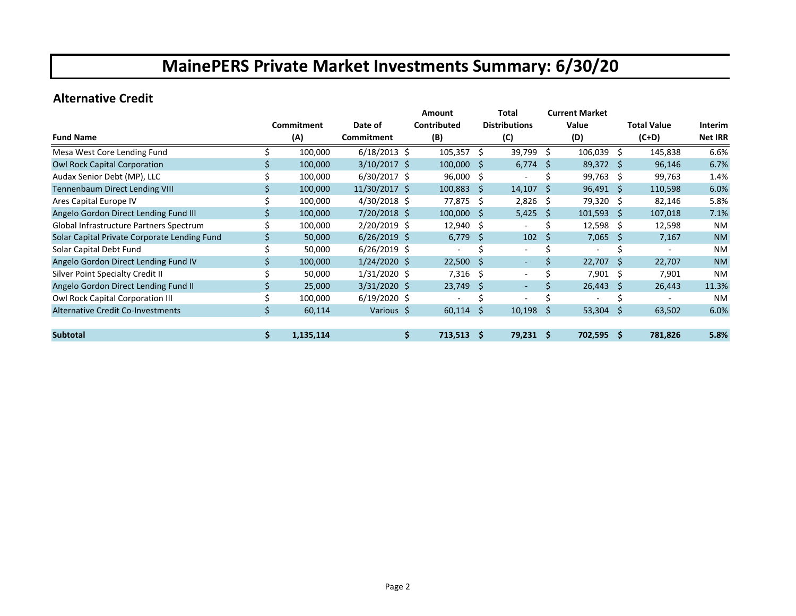#### **Alternative Credit**

|                                              |    |            |                      | Amount         |              | Total                    |     | <b>Current Market</b> |     |                    |                |
|----------------------------------------------|----|------------|----------------------|----------------|--------------|--------------------------|-----|-----------------------|-----|--------------------|----------------|
|                                              |    | Commitment | Date of              | Contributed    |              | <b>Distributions</b>     |     | Value                 |     | <b>Total Value</b> | <b>Interim</b> |
| <b>Fund Name</b>                             |    | (A)        | Commitment           | (B)            |              | (C)                      |     | (D)                   |     | (C+D)              | <b>Net IRR</b> |
| Mesa West Core Lending Fund                  |    | 100,000    | $6/18/2013 \text{ }$ | 105,357        | Ŝ.           | 39,799 \$                |     | $106,039$ \$          |     | 145,838            | 6.6%           |
| <b>Owl Rock Capital Corporation</b>          |    | 100,000    | $3/10/2017$ \$       | 100,000        | <sup>S</sup> | 6,774                    | -S  | 89,372 \$             |     | 96,146             | 6.7%           |
| Audax Senior Debt (MP), LLC                  |    | 100,000    | $6/30/2017$ \$       | 96,000         | Ŝ            |                          |     | 99,763                | Ŝ.  | 99,763             | 1.4%           |
| <b>Tennenbaum Direct Lending VIII</b>        |    | 100,000    | 11/30/2017 \$        | 100,883        | S            | 14,107                   | - S | 96,491                | -S  | 110,598            | 6.0%           |
| Ares Capital Europe IV                       |    | 100,000    | $4/30/2018$ \$       | 77,875         | Ŝ            | $2,826$ \$               |     | 79,320 \$             |     | 82,146             | 5.8%           |
| Angelo Gordon Direct Lending Fund III        |    | 100,000    | 7/20/2018 \$         | 100,000        | <sub>S</sub> | $5,425$ \$               |     | $101,593 \quad $$     |     | 107,018            | 7.1%           |
| Global Infrastructure Partners Spectrum      |    | 100,000    | 2/20/2019 \$         | 12,940         | Ŝ            |                          |     | 12,598                | -\$ | 12,598             | NM             |
| Solar Capital Private Corporate Lending Fund |    | 50,000     | $6/26/2019$ \$       | 6,779          | -S           | 102                      | -Ś  | 7,065                 | -S  | 7,167              | <b>NM</b>      |
| Solar Capital Debt Fund                      |    | 50,000     | $6/26/2019$ \$       |                |              |                          |     |                       |     |                    | <b>NM</b>      |
| Angelo Gordon Direct Lending Fund IV         |    | 100,000    | $1/24/2020$ \$       | 22,500         | S            | $\overline{\phantom{a}}$ | Ś   | 22,707                | Ŝ   | 22,707             | <b>NM</b>      |
| Silver Point Specialty Credit II             |    | 50,000     | $1/31/2020$ \$       | 7,316          | Ŝ.           | $\overline{\phantom{a}}$ | Ś   | 7,901                 | Ŝ.  | 7,901              | <b>NM</b>      |
| Angelo Gordon Direct Lending Fund II         |    | 25,000     | $3/31/2020$ \$       | 23,749         | Ŝ            | $\overline{\phantom{a}}$ | \$  | 26,443                | S   | 26,443             | 11.3%          |
| Owl Rock Capital Corporation III             |    | 100,000    | $6/19/2020$ \$       |                |              | $\overline{\phantom{a}}$ |     |                       |     |                    | <b>NM</b>      |
| Alternative Credit Co-Investments            |    | 60,114     | Various \$           | 60,114         | S            | $10,198$ \$              |     | 53,304                | S   | 63,502             | 6.0%           |
| <b>Subtotal</b>                              | Ŝ. | 1,135,114  |                      | 713,513<br>\$. | <b>S</b>     | $79,231$ \$              |     | $702,595$ \$          |     | 781,826            | 5.8%           |
|                                              |    |            |                      |                |              |                          |     |                       |     |                    |                |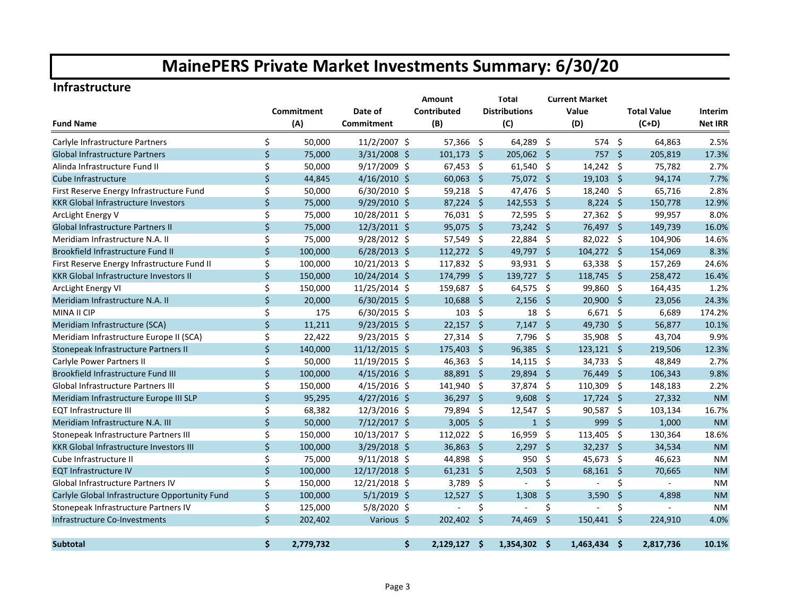#### **Infrastructure**

|                                                |         |            |                | <b>Amount</b> |                | <b>Total</b>        |                      | <b>Current Market</b> |                |                     |                    |                |
|------------------------------------------------|---------|------------|----------------|---------------|----------------|---------------------|----------------------|-----------------------|----------------|---------------------|--------------------|----------------|
|                                                |         | Commitment | Date of        |               | Contributed    |                     | <b>Distributions</b> |                       | Value          |                     | <b>Total Value</b> | Interim        |
| <b>Fund Name</b>                               |         | (A)        | Commitment     |               | (B)            |                     | (C)                  |                       | (D)            |                     | $(C+D)$            | <b>Net IRR</b> |
| Carlyle Infrastructure Partners                | \$      | 50,000     | 11/2/2007 \$   |               | 57,366 \$      |                     | 64,289 \$            |                       | 574 \$         |                     | 64,863             | 2.5%           |
| <b>Global Infrastructure Partners</b>          | \$      | 75,000     | 3/31/2008 \$   |               | 101,173        | $\ddot{\mathsf{s}}$ | 205,062 \$           |                       | 757            | $\ddot{\mathsf{s}}$ | 205,819            | 17.3%          |
| Alinda Infrastructure Fund II                  | \$      | 50,000     | 9/17/2009 \$   |               | 67,453         | -\$                 | $61,540$ \$          |                       | 14,242         | - \$                | 75,782             | 2.7%           |
| Cube Infrastructure                            | $\zeta$ | 44,845     | $4/16/2010$ \$ |               | 60,063         | - Ś                 | 75,072 \$            |                       | 19,103         | $\ddot{\mathsf{s}}$ | 94,174             | 7.7%           |
| First Reserve Energy Infrastructure Fund       | \$      | 50,000     | $6/30/2010$ \$ |               | 59,218         | -\$                 | 47,476               | $\ddot{\mathsf{s}}$   | 18,240         | - \$                | 65,716             | 2.8%           |
| <b>KKR Global Infrastructure Investors</b>     | \$      | 75,000     | 9/29/2010 \$   |               | 87,224         | -\$                 | 142,553 \$           |                       | $8,224$ \$     |                     | 150,778            | 12.9%          |
| ArcLight Energy V                              | \$      | 75,000     | 10/28/2011 \$  |               | 76,031         | -\$                 | 72,595               | $\ddot{\varsigma}$    | 27,362 \$      |                     | 99,957             | 8.0%           |
| <b>Global Infrastructure Partners II</b>       | \$      | 75,000     | 12/3/2011 \$   |               | 95,075         | - \$                | 73,242 \$            |                       | 76,497 \$      |                     | 149,739            | 16.0%          |
| Meridiam Infrastructure N.A. II                | \$      | 75,000     | 9/28/2012 \$   |               | 57,549         | -\$                 | 22,884 \$            |                       | 82,022         | - \$                | 104,906            | 14.6%          |
| Brookfield Infrastructure Fund II              | \$      | 100,000    | $6/28/2013$ \$ |               | 112,272 \$     |                     | 49,797 \$            |                       | 104,272 \$     |                     | 154,069            | 8.3%           |
| First Reserve Energy Infrastructure Fund II    | \$      | 100,000    | 10/21/2013 \$  |               | 117,832        | -\$                 | 93,931 \$            |                       | 63,338         | - \$                | 157,269            | 24.6%          |
| KKR Global Infrastructure Investors II         | \$      | 150,000    | 10/24/2014 \$  |               | 174,799        | -\$                 | 139,727 \$           |                       | 118,745 \$     |                     | 258,472            | 16.4%          |
| ArcLight Energy VI                             | \$      | 150,000    | 11/25/2014 \$  |               | 159,687        | -\$                 | 64,575               | $\ddot{\mathsf{s}}$   | 99,860         | -\$                 | 164,435            | 1.2%           |
| Meridiam Infrastructure N.A. II                | \$      | 20,000     | $6/30/2015$ \$ |               | 10,688         | -Ś                  | 2,156                | $\ddot{\mathsf{s}}$   | 20,900 \$      |                     | 23,056             | 24.3%          |
| MINA II CIP                                    | \$      | 175        | $6/30/2015$ \$ |               | 103            | -\$                 | 18                   | \$                    | 6,671          | - \$                | 6,689              | 174.2%         |
| Meridiam Infrastructure (SCA)                  | \$      | 11,211     | $9/23/2015$ \$ |               | 22,157         | - \$                | $7,147$ \$           |                       | 49,730 \$      |                     | 56,877             | 10.1%          |
| Meridiam Infrastructure Europe II (SCA)        | \$      | 22,422     | $9/23/2015$ \$ |               | 27,314         | -\$                 | 7,796                | -\$                   | 35,908         | - \$                | 43,704             | 9.9%           |
| Stonepeak Infrastructure Partners II           | \$      | 140,000    | 11/12/2015 \$  |               | 175,403        | -\$                 | $96,385$ \$          |                       | $123,121$ \$   |                     | 219,506            | 12.3%          |
| Carlyle Power Partners II                      | \$      | 50,000     | 11/19/2015 \$  |               | 46,363         | -\$                 | 14,115               | $\ddot{\mathsf{s}}$   | 34,733         | - \$                | 48,849             | 2.7%           |
| Brookfield Infrastructure Fund III             | \$      | 100,000    | $4/15/2016$ \$ |               | 88,891 \$      |                     | 29,894 \$            |                       | 76,449 \$      |                     | 106,343            | 9.8%           |
| <b>Global Infrastructure Partners III</b>      | \$      | 150,000    | $4/15/2016$ \$ |               | 141,940        | Ŝ.                  | 37,874 \$            |                       | 110,309        | -\$                 | 148,183            | 2.2%           |
| Meridiam Infrastructure Europe III SLP         | \$      | 95,295     | 4/27/2016 \$   |               | 36,297 \$      |                     | $9,608$ \$           |                       | $17,724$ \$    |                     | 27,332             | <b>NM</b>      |
| <b>EQT Infrastructure III</b>                  | \$      | 68,382     | 12/3/2016 \$   |               | 79,894         | -\$                 | $12,547$ \$          |                       | 90,587         | - \$                | 103,134            | 16.7%          |
| Meridiam Infrastructure N.A. III               | \$      | 50,000     | $7/12/2017$ \$ |               | $3,005$ \$     |                     |                      | $1\quad$              | 999            | $\ddot{\mathsf{s}}$ | 1,000              | <b>NM</b>      |
| Stonepeak Infrastructure Partners III          | \$      | 150,000    | 10/13/2017 \$  |               | 112,022        | - \$                | 16,959               | -\$                   | 113,405        | - \$                | 130,364            | 18.6%          |
| <b>KKR Global Infrastructure Investors III</b> | \$      | 100,000    | $3/29/2018$ \$ |               | 36,863 \$      |                     | $2,297$ \$           |                       | $32,237$ \$    |                     | 34,534             | <b>NM</b>      |
| Cube Infrastructure II                         | \$      | 75,000     | $9/11/2018$ \$ |               | 44,898         | -\$                 | 950 \$               |                       | 45,673 \$      |                     | 46,623             | <b>NM</b>      |
| <b>EQT Infrastructure IV</b>                   | \$      | 100,000    | 12/17/2018 \$  |               | $61,231$ \$    |                     | $2,503$ \$           |                       | 68,161 \$      |                     | 70,665             | <b>NM</b>      |
| <b>Global Infrastructure Partners IV</b>       | \$      | 150,000    | 12/21/2018 \$  |               | 3,789          | -\$                 |                      | \$                    |                | \$                  | $\mathbf{r}$       | <b>NM</b>      |
| Carlyle Global Infrastructure Opportunity Fund | \$      | 100,000    | $5/1/2019$ \$  |               | 12,527         | $\ddot{\varsigma}$  | 1,308                | $\zeta$               | 3,590          | $\ddot{\phi}$       | 4,898              | <b>NM</b>      |
| Stonepeak Infrastructure Partners IV           | \$      | 125,000    | $5/8/2020$ \$  |               | $\overline{a}$ | \$                  |                      | \$                    | $\overline{a}$ | \$                  |                    | <b>NM</b>      |
| Infrastructure Co-Investments                  | \$      | 202,402    | Various \$     |               | 202,402 \$     |                     | 74,469               | $\ddot{\mathsf{S}}$   | 150,441 \$     |                     | 224,910            | 4.0%           |
| <b>Subtotal</b>                                | Ś.      | 2,779,732  |                | \$            | $2,129,127$ \$ |                     | 1,354,302 \$         |                       | $1,463,434$ \$ |                     | 2,817,736          | 10.1%          |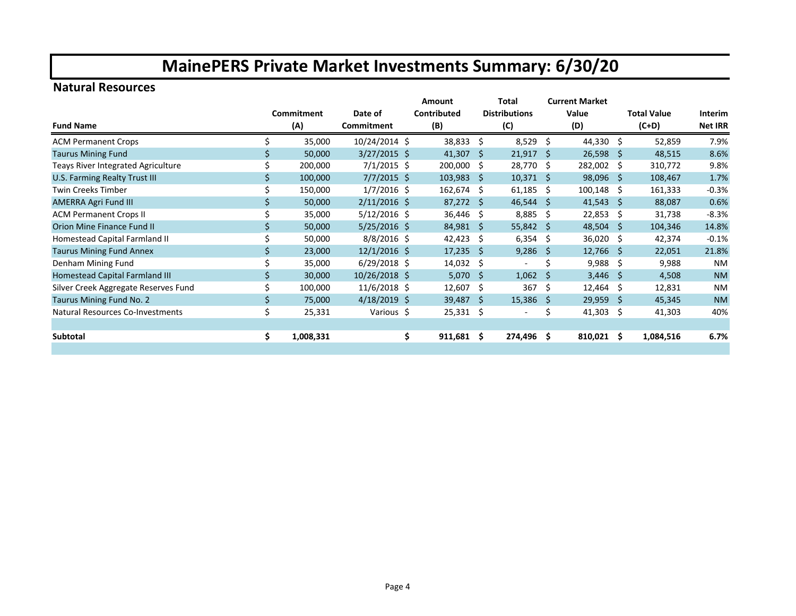#### **Natural Resources**

|                                      |     |            |                | Amount |                    | Total | <b>Current Market</b> |     |              |         |                    |                |
|--------------------------------------|-----|------------|----------------|--------|--------------------|-------|-----------------------|-----|--------------|---------|--------------------|----------------|
|                                      |     | Commitment | Date of        |        | <b>Contributed</b> |       | <b>Distributions</b>  |     | Value        |         | <b>Total Value</b> | Interim        |
| <b>Fund Name</b>                     |     | (A)        | Commitment     |        | (B)                |       | (C)                   |     | (D)          | $(C+D)$ |                    | <b>Net IRR</b> |
| <b>ACM Permanent Crops</b>           |     | 35,000     | 10/24/2014 \$  |        | 38,833             | Ŝ.    | $8,529$ \$            |     | 44,330 \$    |         | 52,859             | 7.9%           |
| <b>Taurus Mining Fund</b>            |     | 50,000     | $3/27/2015$ \$ |        | 41,307             | -Ŝ    | $21,917$ \$           |     | $26,598$ \$  |         | 48,515             | 8.6%           |
| Teays River Integrated Agriculture   |     | 200,000    | $7/1/2015$ \$  |        | 200,000            | -S    | 28,770 \$             |     | 282,002 \$   |         | 310,772            | 9.8%           |
| U.S. Farming Realty Trust III        |     | 100,000    | $7/7/2015$ \$  |        | 103,983            | -S    | $10,371$ \$           |     | 98,096 \$    |         | 108,467            | 1.7%           |
| Twin Creeks Timber                   |     | 150,000    | $1/7/2016$ \$  |        | 162,674            | -S    | $61,185$ \$           |     | $100,148$ \$ |         | 161,333            | $-0.3%$        |
| <b>AMERRA Agri Fund III</b>          |     | 50,000     | $2/11/2016$ \$ |        | $87,272$ \$        |       | $46,544$ \$           |     | $41,543$ \$  |         | 88,087             | 0.6%           |
| <b>ACM Permanent Crops II</b>        |     | 35,000     | $5/12/2016$ \$ |        | 36,446             | -S    | $8,885$ \$            |     | $22,853$ \$  |         | 31,738             | $-8.3%$        |
| Orion Mine Finance Fund II           |     | 50,000     | $5/25/2016$ \$ |        | 84,981 \$          |       | $55,842$ \$           |     | $48,504$ \$  |         | 104,346            | 14.8%          |
| Homestead Capital Farmland II        |     | 50,000     | $8/8/2016$ \$  |        | 42,423             | Ŝ.    | $6,354$ \$            |     | 36,020 \$    |         | 42,374             | $-0.1%$        |
| <b>Taurus Mining Fund Annex</b>      |     | 23,000     | $12/1/2016$ \$ |        | 17,235             | -Ŝ    | $9,286$ \$            |     | 12,766 \$    |         | 22,051             | 21.8%          |
| Denham Mining Fund                   |     | 35,000     | $6/29/2018$ \$ |        | 14,032             | -Ś    |                       |     | $9,988$ \$   |         | 9,988              | <b>NM</b>      |
| Homestead Capital Farmland III       |     | 30,000     | 10/26/2018 \$  |        | 5,070              | -Ś    | $1,062$ \$            |     | $3,446$ \$   |         | 4,508              | <b>NM</b>      |
| Silver Creek Aggregate Reserves Fund |     | 100,000    | $11/6/2018$ \$ |        | 12,607             | -\$   | 367                   | -\$ | 12,464       | -\$     | 12,831             | <b>NM</b>      |
| Taurus Mining Fund No. 2             | \$. | 75,000     | $4/18/2019$ \$ |        | 39,487             | -S    | $15,386$ \$           |     | $29,959$ \$  |         | 45,345             | <b>NM</b>      |
| Natural Resources Co-Investments     | \$  | 25,331     | Various \$     |        | 25,331             | -S    |                       | S   | $41,303$ \$  |         | 41,303             | 40%            |
|                                      |     |            |                |        |                    |       |                       |     |              |         |                    |                |
| Subtotal                             | \$. | 1,008,331  |                | \$     | 911,681            | Ŝ.    | 274,496 \$            |     | $810,021$ \$ |         | 1,084,516          | 6.7%           |
|                                      |     |            |                |        |                    |       |                       |     |              |         |                    |                |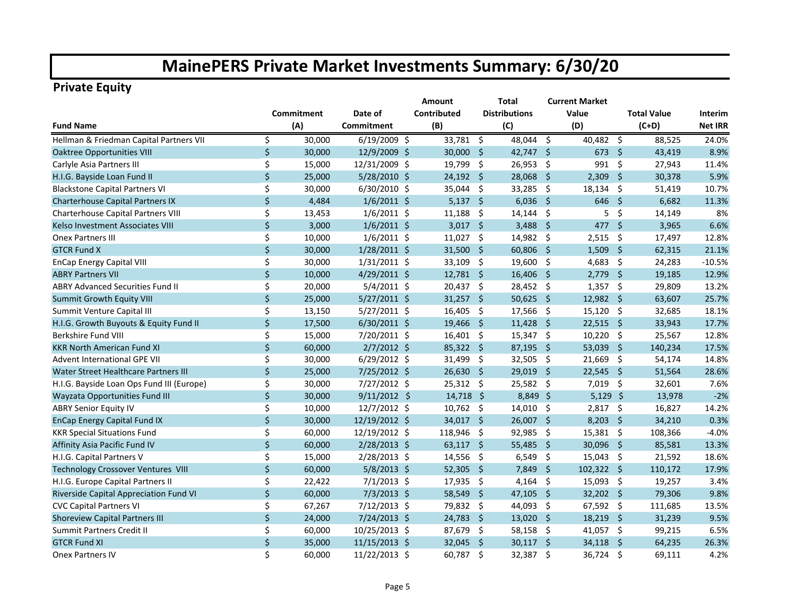#### **Private Equity**

|                                           |            |        |                | Amount      |                     | Total                |                     | <b>Current Market</b> |                     |         |                |
|-------------------------------------------|------------|--------|----------------|-------------|---------------------|----------------------|---------------------|-----------------------|---------------------|---------|----------------|
|                                           | Commitment |        | Date of        | Contributed |                     | <b>Distributions</b> | Value               |                       | <b>Total Value</b>  |         | Interim        |
| <b>Fund Name</b>                          |            | (A)    | Commitment     | (B)         |                     | (C)                  |                     | (D)                   |                     | $(C+D)$ | <b>Net IRR</b> |
| Hellman & Friedman Capital Partners VII   | \$         | 30,000 | $6/19/2009$ \$ | 33,781 \$   |                     | 48,044 \$            |                     | 40,482 \$             |                     | 88,525  | 24.0%          |
| <b>Oaktree Opportunities VIII</b>         | \$         | 30,000 | 12/9/2009 \$   | 30,000      | - Ś                 | 42,747 \$            |                     | 673                   | - \$                | 43,419  | 8.9%           |
| Carlyle Asia Partners III                 | \$         | 15,000 | 12/31/2009 \$  | 19,799      | \$                  | 26,953 \$            |                     | 991                   | -\$                 | 27,943  | 11.4%          |
| H.I.G. Bayside Loan Fund II               | \$         | 25,000 | 5/28/2010 \$   | 24,192      | $\ddot{\mathsf{s}}$ | 28,068               | $\ddot{\mathsf{s}}$ | 2,309                 | $\ddot{\mathsf{s}}$ | 30,378  | 5.9%           |
| <b>Blackstone Capital Partners VI</b>     | \$         | 30,000 | 6/30/2010 \$   | 35,044      | $\zeta$             | 33,285 \$            |                     | 18,134                | -\$                 | 51,419  | 10.7%          |
| <b>Charterhouse Capital Partners IX</b>   | \$         | 4,484  | $1/6/2011$ \$  | $5,137$ \$  |                     | $6,036$ \$           |                     | 646 \$                |                     | 6,682   | 11.3%          |
| Charterhouse Capital Partners VIII        | \$         | 13,453 | $1/6/2011$ \$  | 11,188      | -\$                 | $14,144$ \$          |                     | 5                     | -\$                 | 14,149  | 8%             |
| Kelso Investment Associates VIII          | \$         | 3,000  | $1/6/2011$ \$  | $3,017$ \$  |                     | $3,488$ \$           |                     | $477$ \$              |                     | 3,965   | 6.6%           |
| <b>Onex Partners III</b>                  | \$         | 10,000 | $1/6/2011$ \$  | 11,027      | -\$                 | 14,982 \$            |                     | $2,515$ \$            |                     | 17,497  | 12.8%          |
| <b>GTCR Fund X</b>                        | \$         | 30,000 | $1/28/2011$ \$ | 31,500 \$   |                     | $60,806$ \$          |                     | $1,509$ \$            |                     | 62,315  | 21.1%          |
| <b>EnCap Energy Capital VIII</b>          | \$         | 30,000 | $1/31/2011$ \$ | 33,109      | -\$                 | 19,600 \$            |                     | $4,683$ \$            |                     | 24,283  | $-10.5%$       |
| <b>ABRY Partners VII</b>                  | \$         | 10,000 | 4/29/2011 \$   | $12,781$ \$ |                     | $16,406$ \$          |                     | $2,779$ \$            |                     | 19,185  | 12.9%          |
| <b>ABRY Advanced Securities Fund II</b>   | \$         | 20,000 | 5/4/2011 \$    | 20,437 \$   |                     | 28,452 \$            |                     | $1,357$ \$            |                     | 29,809  | 13.2%          |
| Summit Growth Equity VIII                 | \$         | 25,000 | $5/27/2011$ \$ | $31,257$ \$ |                     | 50,625 \$            |                     | 12,982 \$             |                     | 63,607  | 25.7%          |
| Summit Venture Capital III                | \$         | 13,150 | $5/27/2011$ \$ | 16,405      | - \$                | 17,566 \$            |                     | $15,120$ \$           |                     | 32,685  | 18.1%          |
| H.I.G. Growth Buyouts & Equity Fund II    | $\zeta$    | 17,500 | $6/30/2011$ \$ | 19,466      | -Ś                  | 11,428               | - \$                | $22,515$ \$           |                     | 33,943  | 17.7%          |
| <b>Berkshire Fund VIII</b>                | \$         | 15,000 | $7/20/2011$ \$ | $16,401$ \$ |                     | $15,347$ \$          |                     | $10,220$ \$           |                     | 25,567  | 12.8%          |
| <b>KKR North American Fund XI</b>         | $\zeta$    | 60,000 | $2/7/2012$ \$  | 85,322 \$   |                     | 87,195               | - \$                | 53,039 \$             |                     | 140,234 | 17.5%          |
| <b>Advent International GPE VII</b>       | \$         | 30,000 | $6/29/2012$ \$ | 31,499      | -\$                 | 32,505 \$            |                     | 21,669 \$             |                     | 54,174  | 14.8%          |
| Water Street Healthcare Partners III      | $\zeta$    | 25,000 | 7/25/2012 \$   | 26,630      | -\$                 | $29,019$ \$          |                     | $22,545$ \$           |                     | 51,564  | 28.6%          |
| H.I.G. Bayside Loan Ops Fund III (Europe) | \$         | 30,000 | 7/27/2012 \$   | 25,312      | -\$                 | 25,582 \$            |                     | $7,019$ \$            |                     | 32,601  | 7.6%           |
| Wayzata Opportunities Fund III            | $\zeta$    | 30,000 | $9/11/2012$ \$ | $14,718$ \$ |                     | 8,849 \$             |                     | $5,129$ \$            |                     | 13,978  | $-2%$          |
| <b>ABRY Senior Equity IV</b>              | \$         | 10,000 | 12/7/2012 \$   | 10,762      | - \$                | $14,010$ \$          |                     | $2,817$ \$            |                     | 16,827  | 14.2%          |
| <b>EnCap Energy Capital Fund IX</b>       | \$         | 30,000 | 12/19/2012 \$  | 34,017 \$   |                     | 26,007 \$            |                     | $8,203$ \$            |                     | 34,210  | 0.3%           |
| <b>KKR Special Situations Fund</b>        | \$         | 60,000 | 12/19/2012 \$  | 118,946     | \$                  | 92,985 \$            |                     | 15,381 \$             |                     | 108,366 | $-4.0%$        |
| Affinity Asia Pacific Fund IV             | \$         | 60,000 | 2/28/2013 \$   | $63,117$ \$ |                     | 55,485 \$            |                     | 30,096 \$             |                     | 85,581  | 13.3%          |
| H.I.G. Capital Partners V                 | \$         | 15,000 | 2/28/2013 \$   | 14,556      | -\$                 | $6,549$ \$           |                     | 15,043 \$             |                     | 21,592  | 18.6%          |
| Technology Crossover Ventures VIII        | \$         | 60,000 | $5/8/2013$ \$  | 52,305      | $\ddot{\mathsf{s}}$ | 7,849 \$             |                     | 102,322 \$            |                     | 110,172 | 17.9%          |
| H.I.G. Europe Capital Partners II         | \$         | 22,422 | $7/1/2013$ \$  | 17,935      | -\$                 | $4,164$ \$           |                     | 15,093 \$             |                     | 19,257  | 3.4%           |
| Riverside Capital Appreciation Fund VI    | \$         | 60,000 | $7/3/2013$ \$  | 58,549      | - \$                | $47,105$ \$          |                     | 32,202 \$             |                     | 79,306  | 9.8%           |
| <b>CVC Capital Partners VI</b>            | \$         | 67,267 | $7/12/2013$ \$ | 79,832 \$   |                     | 44,093 \$            |                     | 67,592 \$             |                     | 111,685 | 13.5%          |
| <b>Shoreview Capital Partners III</b>     | $\zeta$    | 24,000 | 7/24/2013 \$   | 24,783      | $\ddot{\mathsf{s}}$ | 13,020               | $\ddot{\mathsf{s}}$ | 18,219                | $\ddot{\mathsf{s}}$ | 31,239  | 9.5%           |
| Summit Partners Credit II                 | \$         | 60,000 | 10/25/2013 \$  | 87,679      | -\$                 | 58,158               | - \$                | 41,057 \$             |                     | 99,215  | 6.5%           |
| <b>GTCR Fund XI</b>                       | \$         | 35,000 | 11/15/2013 \$  | 32,045      | -Ś                  | 30,117               | - \$                | 34,118                | - \$                | 64,235  | 26.3%          |
| <b>Onex Partners IV</b>                   | \$         | 60,000 | 11/22/2013 \$  | 60,787 \$   |                     | 32,387               | - \$                | 36,724 \$             |                     | 69,111  | 4.2%           |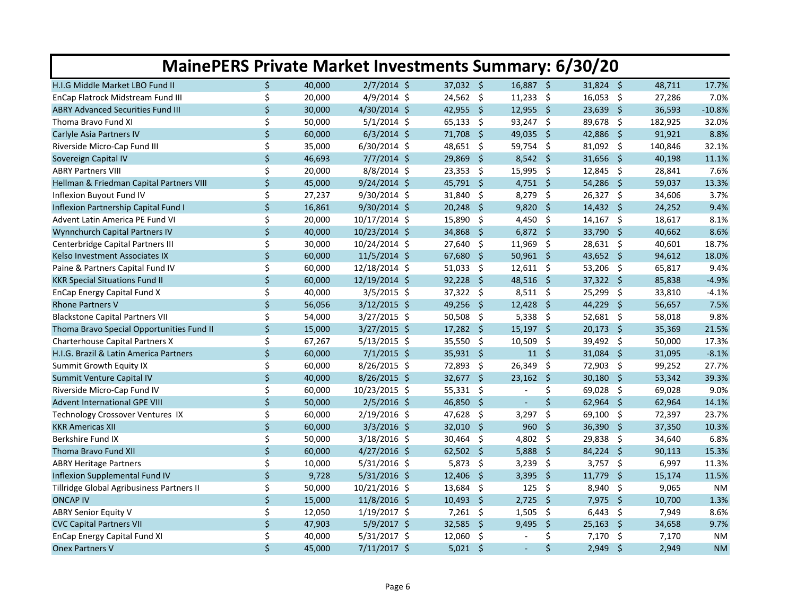| <b>MainePERS Private Market Investments Summary: 6/30/20</b> |    |        |                |                        |                               |                |         |           |  |  |
|--------------------------------------------------------------|----|--------|----------------|------------------------|-------------------------------|----------------|---------|-----------|--|--|
| H.I.G Middle Market LBO Fund II                              | \$ | 40,000 | $2/7/2014$ \$  | 37,032 \$              | 16,887 \$                     | 31,824 \$      | 48,711  | 17.7%     |  |  |
| EnCap Flatrock Midstream Fund III                            | \$ | 20,000 | 4/9/2014 \$    | $24,562$ \$            | $11,233$ \$                   | $16,053$ \$    | 27,286  | 7.0%      |  |  |
| <b>ABRY Advanced Securities Fund III</b>                     | \$ | 30,000 | 4/30/2014 \$   | 42,955 \$              | 12,955 \$                     | 23,639 \$      | 36,593  | $-10.8%$  |  |  |
| Thoma Bravo Fund XI                                          | \$ | 50,000 | $5/1/2014$ \$  | $65,133$ \$            | 93,247 \$                     | 89,678 \$      | 182,925 | 32.0%     |  |  |
| Carlyle Asia Partners IV                                     | \$ | 60,000 | $6/3/2014$ \$  | 71,708<br>- \$         | $\ddot{\mathsf{s}}$<br>49,035 | 42,886<br>- \$ | 91,921  | 8.8%      |  |  |
| Riverside Micro-Cap Fund III                                 | \$ | 35,000 | 6/30/2014 \$   | 48,651<br>- \$         | 59,754 \$                     | 81,092 \$      | 140,846 | 32.1%     |  |  |
| Sovereign Capital IV                                         | \$ | 46,693 | $7/7/2014$ \$  | 29,869<br>- \$         | $8,542$ \$                    | 31,656 \$      | 40,198  | 11.1%     |  |  |
| <b>ABRY Partners VIII</b>                                    | \$ | 20,000 | $8/8/2014$ \$  | $23,353$ \$            | 15,995 \$                     | 12,845 \$      | 28,841  | 7.6%      |  |  |
| Hellman & Friedman Capital Partners VIII                     | \$ | 45,000 | 9/24/2014 \$   | 45,791 \$              | $4,751$ \$                    | 54,286 \$      | 59,037  | 13.3%     |  |  |
| Inflexion Buyout Fund IV                                     | \$ | 27,237 | 9/30/2014 \$   | 31,840<br>- \$         | 8,279<br>$\ddot{\mathsf{s}}$  | 26,327 \$      | 34,606  | 3.7%      |  |  |
| Inflexion Partnership Capital Fund I                         | \$ | 16,861 | 9/30/2014 \$   | 20.248<br>- Ś          | - \$<br>9,820                 | $14,432$ \$    | 24,252  | 9.4%      |  |  |
| Advent Latin America PE Fund VI                              | \$ | 20,000 | 10/17/2014 \$  | 15,890<br>-\$          | 4,450 \$                      | $14,167$ \$    | 18,617  | 8.1%      |  |  |
| Wynnchurch Capital Partners IV                               | \$ | 40,000 | 10/23/2014 \$  | 34,868<br>- \$         | $6,872$ \$                    | 33,790 \$      | 40,662  | 8.6%      |  |  |
| Centerbridge Capital Partners III                            | \$ | 30,000 | 10/24/2014 \$  | 27,640<br>-\$          | $11,969$ \$                   | $28,631$ \$    | 40,601  | 18.7%     |  |  |
| Kelso Investment Associates IX                               | \$ | 60,000 | 11/5/2014 \$   | 67,680<br>- \$         | $50,961$ \$                   | 43,652 \$      | 94,612  | 18.0%     |  |  |
| Paine & Partners Capital Fund IV                             | \$ | 60,000 | 12/18/2014 \$  | 51,033<br>-\$          | $12,611$ \$                   | 53,206<br>- \$ | 65,817  | 9.4%      |  |  |
| <b>KKR Special Situations Fund II</b>                        | \$ | 60,000 | 12/19/2014 \$  | $\mathsf{S}$<br>92,228 | $\ddot{\mathsf{s}}$<br>48,516 | 37,322 \$      | 85,838  | $-4.9%$   |  |  |
| <b>EnCap Energy Capital Fund X</b>                           | \$ | 40,000 | $3/5/2015$ \$  | $37,322$ \$            | $8,511$ \$                    | 25,299 \$      | 33,810  | $-4.1%$   |  |  |
| <b>Rhone Partners V</b>                                      | \$ | 56,056 | $3/12/2015$ \$ | 49,256<br>- \$         | $12,428$ \$                   | 44,229<br>- \$ | 56,657  | 7.5%      |  |  |
| <b>Blackstone Capital Partners VII</b>                       | \$ | 54,000 | 3/27/2015 \$   | 50,508<br>-\$          | $5,338$ \$                    | 52,681 \$      | 58,018  | 9.8%      |  |  |
| Thoma Bravo Special Opportunities Fund II                    | \$ | 15,000 | $3/27/2015$ \$ | $17,282$ \$            | $15,197$ \$                   | 20,173 \$      | 35,369  | 21.5%     |  |  |
| <b>Charterhouse Capital Partners X</b>                       | \$ | 67,267 | $5/13/2015$ \$ | - \$<br>35,550         | 10,509<br>- \$                | 39,492 \$      | 50,000  | 17.3%     |  |  |
| H.I.G. Brazil & Latin America Partners                       | \$ | 60,000 | $7/1/2015$ \$  | 35,931 \$              | $11 \quad$                    | 31,084 \$      | 31,095  | $-8.1%$   |  |  |
| Summit Growth Equity IX                                      | \$ | 60,000 | 8/26/2015 \$   | 72,893 \$              | 26,349 \$                     | 72,903 \$      | 99,252  | 27.7%     |  |  |
| Summit Venture Capital IV                                    | \$ | 40,000 | 8/26/2015 \$   | 32,677<br>- \$         | $23,162$ \$                   | $30,180$ \$    | 53,342  | 39.3%     |  |  |
| Riverside Micro-Cap Fund IV                                  | \$ | 60,000 | 10/23/2015 \$  | 55,331 \$              | \$                            | 69,028 \$      | 69,028  | 9.0%      |  |  |
| <b>Advent International GPE VIII</b>                         | \$ | 50,000 | $2/5/2016$ \$  | 46,850 \$              | $\zeta$                       | 62,964 \$      | 62,964  | 14.1%     |  |  |
| Technology Crossover Ventures IX                             | \$ | 60,000 | $2/19/2016$ \$ | 47,628<br>-\$          | \$<br>3,297                   | 69,100<br>- \$ | 72,397  | 23.7%     |  |  |
| <b>KKR Americas XII</b>                                      | \$ | 60,000 | $3/3/2016$ \$  | 32,010<br>-\$          | $\zeta$<br>960                | 36,390 \$      | 37,350  | 10.3%     |  |  |
| Berkshire Fund IX                                            | \$ | 50,000 | 3/18/2016 \$   | $30,464$ \$            | 4,802 \$                      | $29,838$ \$    | 34,640  | 6.8%      |  |  |
| Thoma Bravo Fund XII                                         | \$ | 60,000 | $4/27/2016$ \$ | $62,502$ \$            | Ŝ.<br>5,888                   | 84,224 \$      | 90,113  | 15.3%     |  |  |
| <b>ABRY Heritage Partners</b>                                | \$ | 10,000 | $5/31/2016$ \$ | 5,873<br>-\$           | $3,239$ \$                    | $3,757$ \$     | 6,997   | 11.3%     |  |  |
| Inflexion Supplemental Fund IV                               | \$ | 9,728  | $5/31/2016$ \$ | 12,406<br>-\$          | $\ddot{\mathsf{s}}$<br>3,395  | $11,779$ \$    | 15,174  | 11.5%     |  |  |
| Tillridge Global Agribusiness Partners II                    | \$ | 50,000 | 10/21/2016 \$  | 13,684<br>-\$          | $\ddot{\varsigma}$<br>125     | 8,940<br>- \$  | 9,065   | <b>NM</b> |  |  |
| <b>ONCAP IV</b>                                              | \$ | 15,000 | 11/8/2016 \$   | $10,493$ \$            | $2,725$ \$                    | $7,975$ \$     | 10,700  | 1.3%      |  |  |
| <b>ABRY Senior Equity V</b>                                  | \$ | 12,050 | 1/19/2017 \$   | $7,261$ \$             | $1,505$ \$                    | $6,443$ \$     | 7,949   | 8.6%      |  |  |
| <b>CVC Capital Partners VII</b>                              | \$ | 47,903 | $5/9/2017$ \$  | -\$<br>32,585          | \$<br>9,495                   | $25,163$ \$    | 34,658  | 9.7%      |  |  |
| EnCap Energy Capital Fund XI                                 | \$ | 40,000 | $5/31/2017$ \$ | \$<br>12,060           | \$<br>$\sim$                  | $7,170$ \$     | 7,170   | <b>NM</b> |  |  |
| <b>Onex Partners V</b>                                       | \$ | 45,000 | 7/11/2017 \$   | $5,021$ \$             | \$<br>$\omega$                | 2,949<br>- \$  | 2,949   | <b>NM</b> |  |  |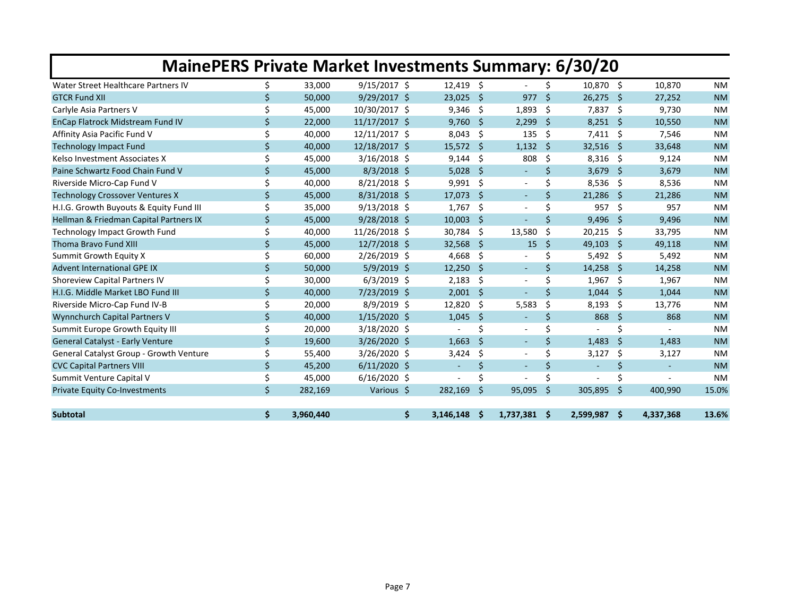| <b>MainePERS Private Market Investments Summary: 6/30/20</b> |                    |           |                |           |              |                          |                    |                |      |           |           |
|--------------------------------------------------------------|--------------------|-----------|----------------|-----------|--------------|--------------------------|--------------------|----------------|------|-----------|-----------|
| Water Street Healthcare Partners IV                          | Ś.                 | 33,000    | $9/15/2017$ \$ | 12.419    | -Ś           |                          | Ś.                 | 10,870 \$      |      | 10.870    | <b>NM</b> |
| <b>GTCR Fund XII</b>                                         | Ś                  | 50,000    | $9/29/2017$ \$ | 23,025    | Ŝ.           | 977                      | $\mathsf{\hat{S}}$ | $26,275$ \$    |      | 27,252    | <b>NM</b> |
| Carlyle Asia Partners V                                      | Ś.                 | 45,000    | 10/30/2017 \$  | 9,346     | -\$          | 1,893                    | -\$                | 7,837 \$       |      | 9,730     | <b>NM</b> |
| EnCap Flatrock Midstream Fund IV                             | Ś.                 | 22,000    | 11/17/2017 \$  | 9,760     | -Ŝ           | 2,299                    | S.                 | $8,251$ \$     |      | 10,550    | <b>NM</b> |
| Affinity Asia Pacific Fund V                                 | Ś.                 | 40.000    | 12/11/2017 \$  | 8,043     | S,           | 135                      | Ŝ.                 | 7,411 \$       |      | 7,546     | <b>NM</b> |
| <b>Technology Impact Fund</b>                                | \$                 | 40,000    | 12/18/2017 \$  | 15,572    | - \$         | 1,132                    | Ŝ.                 | 32,516         | - \$ | 33,648    | <b>NM</b> |
| Kelso Investment Associates X                                | Ś                  | 45,000    | $3/16/2018$ \$ | 9,144     | -\$          | 808                      | Ŝ.                 | 8,316          | - \$ | 9,124     | <b>NM</b> |
| Paine Schwartz Food Chain Fund V                             | $\mathsf{\dot{S}}$ | 45,000    | $8/3/2018$ \$  | 5,028     | <sub>S</sub> | $\sim$                   | Ŝ.                 | 3,679          | - \$ | 3,679     | <b>NM</b> |
| Riverside Micro-Cap Fund V                                   | \$                 | 40,000    | $8/21/2018$ \$ | 9,991     | S,           |                          | \$                 | 8,536          | -\$  | 8,536     | <b>NM</b> |
| <b>Technology Crossover Ventures X</b>                       | \$                 | 45,000    | $8/31/2018$ \$ | 17,073    | Ŝ            | $\sim$                   | Ŝ.                 | 21,286         | -S   | 21,286    | <b>NM</b> |
| H.I.G. Growth Buyouts & Equity Fund III                      | Ś                  | 35,000    | $9/13/2018$ \$ | 1,767     | S,           | $\overline{\phantom{a}}$ | Ś                  | 957            | -\$  | 957       | <b>NM</b> |
| Hellman & Friedman Capital Partners IX                       | \$                 | 45,000    | $9/28/2018$ \$ | 10,003    | \$           |                          | Ś.                 | 9,496          | - \$ | 9,496     | <b>NM</b> |
| <b>Technology Impact Growth Fund</b>                         | \$                 | 40,000    | 11/26/2018 \$  | 30,784    | \$           | 13,580                   | \$                 | 20,215         | \$.  | 33,795    | <b>NM</b> |
| <b>Thoma Bravo Fund XIII</b>                                 | Ś.                 | 45,000    | 12/7/2018 \$   | 32,568    | Ŝ            | 15                       | Ŝ.                 | 49,103         | -S   | 49,118    | <b>NM</b> |
| Summit Growth Equity X                                       | \$                 | 60,000    | $2/26/2019$ \$ | 4,668     | Ŝ.           |                          | \$                 | $5,492$ \$     |      | 5,492     | <b>NM</b> |
| <b>Advent International GPE IX</b>                           | \$                 | 50,000    | 5/9/2019 \$    | 12,250    | Š.           | $\sim$                   | Ś.                 | 14,258         | - \$ | 14,258    | <b>NM</b> |
| <b>Shoreview Capital Partners IV</b>                         | \$                 | 30,000    | $6/3/2019$ \$  | 2,183     | \$           |                          | Ś                  | 1,967          | -\$  | 1,967     | <b>NM</b> |
| H.I.G. Middle Market LBO Fund III                            | \$                 | 40,000    | 7/23/2019 \$   | 2,001     | \$           |                          | Ś.                 | 1,044          | \$   | 1,044     | <b>NM</b> |
| Riverside Micro-Cap Fund IV-B                                | \$                 | 20,000    | $8/9/2019$ \$  | 12,820    | \$           | 5,583                    | \$                 | 8,193          | -\$  | 13,776    | <b>NM</b> |
| Wynnchurch Capital Partners V                                | \$                 | 40,000    | $1/15/2020$ \$ | 1,045     | \$           | $\sim$                   | \$                 | 868            | Ŝ.   | 868       | <b>NM</b> |
| Summit Europe Growth Equity III                              | \$                 | 20,000    | 3/18/2020 \$   |           | \$           |                          | Ś.                 |                | Ś    |           | <b>NM</b> |
| General Catalyst - Early Venture                             | \$                 | 19,600    | 3/26/2020 \$   | 1,663     | \$           | $\sim$                   | \$                 | 1,483          | Ŝ.   | 1,483     | <b>NM</b> |
| <b>General Catalyst Group - Growth Venture</b>               | \$                 | 55,400    | 3/26/2020 \$   | 3,424     | \$           |                          | Ś.                 | 3,127          | Ŝ.   | 3,127     | <b>NM</b> |
| <b>CVC Capital Partners VIII</b>                             | \$                 | 45,200    | $6/11/2020$ \$ | $\sim$    | \$           | $\sim$                   | \$                 | $\blacksquare$ | \$   | $\sim$    | <b>NM</b> |
| Summit Venture Capital V                                     | \$                 | 45,000    | $6/16/2020$ \$ |           | \$           |                          | Ś                  |                | \$   |           | <b>NM</b> |
| <b>Private Equity Co-Investments</b>                         | $\mathsf{\dot{S}}$ | 282,169   | Various \$     | 282,169   | Ś.           | 95,095                   | Ŝ.                 | 305,895        | Ŝ.   | 400.990   | 15.0%     |
| <b>Subtotal</b>                                              | \$                 | 3,960,440 | \$             | 3,146,148 | .s           | $1,737,381$ \$           |                    | 2,599,987 \$   |      | 4,337,368 | 13.6%     |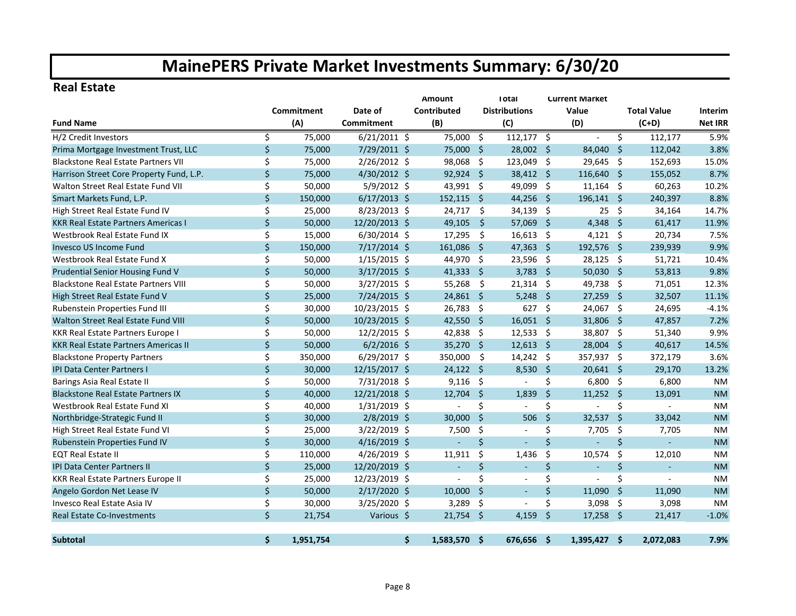#### **Real Estate**

|                                             |                    |            |                |    | <b>Amount</b>            |                     | <b>Total</b>             | <b>Current Market</b> |                |      |                    |                |
|---------------------------------------------|--------------------|------------|----------------|----|--------------------------|---------------------|--------------------------|-----------------------|----------------|------|--------------------|----------------|
|                                             |                    | Commitment | Date of        |    | Contributed              |                     | <b>Distributions</b>     |                       | Value          |      | <b>Total Value</b> | Interim        |
| <b>Fund Name</b>                            |                    | (A)        | Commitment     |    | (B)                      |                     | (C)                      |                       | (D)            |      | $(C+D)$            | <b>Net IRR</b> |
| H/2 Credit Investors                        | \$                 | 75,000     | $6/21/2011$ \$ |    | 75,000                   | \$                  | $112,177$ \$             |                       | $\blacksquare$ | \$   | 112,177            | 5.9%           |
| Prima Mortgage Investment Trust, LLC        | \$                 | 75,000     | 7/29/2011 \$   |    | 75,000                   | -\$                 | 28,002 \$                |                       | 84,040         | -\$  | 112,042            | 3.8%           |
| <b>Blackstone Real Estate Partners VII</b>  | \$                 | 75,000     | 2/26/2012 \$   |    | 98,068                   | - \$                | 123,049 \$               |                       | 29,645 \$      |      | 152,693            | 15.0%          |
| Harrison Street Core Property Fund, L.P.    | \$                 | 75,000     | 4/30/2012 \$   |    | $92,924$ \$              |                     | $38,412$ \$              |                       | 116,640 \$     |      | 155,052            | 8.7%           |
| Walton Street Real Estate Fund VII          | \$                 | 50,000     | $5/9/2012$ \$  |    | 43,991 \$                |                     | 49,099 \$                |                       | $11,164$ \$    |      | 60,263             | 10.2%          |
| Smart Markets Fund, L.P.                    | \$                 | 150,000    | $6/17/2013$ \$ |    | $152,115$ \$             |                     | 44,256 \$                |                       | 196,141 \$     |      | 240,397            | 8.8%           |
| High Street Real Estate Fund IV             | \$                 | 25,000     | 8/23/2013 \$   |    | 24,717                   | Ŝ.                  | $34,139$ \$              |                       | 25             | \$   | 34,164             | 14.7%          |
| <b>KKR Real Estate Partners Americas I</b>  | \$                 | 50,000     | 12/20/2013 \$  |    | 49,105                   | $\ddot{\mathsf{S}}$ | 57,069 \$                |                       | 4,348 \$       |      | 61,417             | 11.9%          |
| Westbrook Real Estate Fund IX               | \$                 | 15,000     | $6/30/2014$ \$ |    | 17,295                   | \$                  | $16,613$ \$              |                       | $4,121$ \$     |      | 20,734             | 7.5%           |
| <b>Invesco US Income Fund</b>               | \$                 | 150,000    | $7/17/2014$ \$ |    | 161,086                  | $\ddot{\mathsf{S}}$ | $47,363$ \$              |                       | 192,576 \$     |      | 239,939            | 9.9%           |
| Westbrook Real Estate Fund X                | \$                 | 50,000     | $1/15/2015$ \$ |    | 44,970                   | -\$                 | 23,596 \$                |                       | 28,125         | -\$  | 51,721             | 10.4%          |
| Prudential Senior Housing Fund V            | \$                 | 50,000     | $3/17/2015$ \$ |    | $41,333$ \$              |                     | $3,783$ \$               |                       | 50,030 \$      |      | 53,813             | 9.8%           |
| <b>Blackstone Real Estate Partners VIII</b> | \$                 | 50,000     | $3/27/2015$ \$ |    | 55,268                   | \$                  | $21,314$ \$              |                       | 49,738 \$      |      | 71,051             | 12.3%          |
| High Street Real Estate Fund V              | \$                 | 25,000     | 7/24/2015 \$   |    | $24,861$ \$              |                     | 5,248                    | $\ddot{\mathsf{s}}$   | $27,259$ \$    |      | 32,507             | 11.1%          |
| Rubenstein Properties Fund III              | \$                 | 30,000     | 10/23/2015 \$  |    | 26,783                   | -\$                 | $627$ \$                 |                       | 24,067 \$      |      | 24,695             | $-4.1%$        |
| Walton Street Real Estate Fund VIII         | $\zeta$            | 50,000     | 10/23/2015 \$  |    | 42,550                   | -\$                 | $16,051$ \$              |                       | 31,806 \$      |      | 47,857             | 7.2%           |
| KKR Real Estate Partners Europe I           | \$                 | 50,000     | 12/2/2015 \$   |    | 42,838                   | -\$                 | $12,533$ \$              |                       | 38,807 \$      |      | 51,340             | 9.9%           |
| <b>KKR Real Estate Partners Americas II</b> | $\zeta$            | 50,000     | $6/2/2016$ \$  |    | 35,270                   | - Ś                 | 12,613                   | - \$                  | 28,004 \$      |      | 40,617             | 14.5%          |
| <b>Blackstone Property Partners</b>         | \$                 | 350,000    | $6/29/2017$ \$ |    | 350,000                  | \$                  | $14,242$ \$              |                       | 357,937 \$     |      | 372,179            | 3.6%           |
| <b>IPI Data Center Partners I</b>           | $\zeta$            | 30,000     | 12/15/2017 \$  |    | 24,122                   | -Ś                  | 8,530                    | Ŝ.                    | $20,641$ \$    |      | 29,170             | 13.2%          |
| Barings Asia Real Estate II                 | \$                 | 50,000     | 7/31/2018 \$   |    | 9,116                    | -\$                 |                          | \$                    | $6,800$ \$     |      | 6,800              | <b>NM</b>      |
| <b>Blackstone Real Estate Partners IX</b>   | $\mathsf{\dot{S}}$ | 40,000     | 12/21/2018 \$  |    | 12,704                   | -Ś                  | 1.839                    | $\mathsf{\dot{S}}$    | 11,252         | - \$ | 13,091             | <b>NM</b>      |
| Westbrook Real Estate Fund XI               | \$                 | 40,000     | $1/31/2019$ \$ |    |                          | \$                  |                          | \$                    |                | \$   |                    | <b>NM</b>      |
| Northbridge-Strategic Fund II               | \$                 | 30,000     | 2/8/2019 \$    |    | 30,000                   | Ś.                  | 506                      | $\mathsf{\dot{S}}$    | 32,537         | -Ś   | 33,042             | <b>NM</b>      |
| High Street Real Estate Fund VI             | \$                 | 25,000     | $3/22/2019$ \$ |    | 7,500                    | \$                  | $\blacksquare$           | \$                    | 7,705          | -\$  | 7,705              | <b>NM</b>      |
| Rubenstein Properties Fund IV               | \$                 | 30,000     | 4/16/2019 \$   |    | $\overline{\phantom{0}}$ | Ś                   |                          | \$                    |                | \$   | ÷                  | <b>NM</b>      |
| <b>EQT Real Estate II</b>                   | \$                 | 110,000    | $4/26/2019$ \$ |    | 11,911                   | \$.                 | 1,436                    | \$                    | 10,574         | \$   | 12,010             | <b>NM</b>      |
| <b>IPI Data Center Partners II</b>          | $\zeta$            | 25,000     | 12/20/2019 \$  |    | $\blacksquare$           | Ś.                  | $\overline{\phantom{a}}$ | $\zeta$               | ÷              | \$   | $\blacksquare$     | <b>NM</b>      |
| KKR Real Estate Partners Europe II          | \$                 | 25,000     | 12/23/2019 \$  |    | $\overline{a}$           | \$                  | $\blacksquare$           | \$                    | $\overline{a}$ | Ś    | $\blacksquare$     | <b>NM</b>      |
| Angelo Gordon Net Lease IV                  | \$                 | 50,000     | 2/17/2020 \$   |    | 10,000                   | Ś.                  | $\blacksquare$           | $\mathsf{S}$          | 11,090         | -Ś   | 11,090             | <b>NM</b>      |
| Invesco Real Estate Asia IV                 | \$                 | 30,000     | 3/25/2020 \$   |    | 3,289                    | -\$                 | $\blacksquare$           | Ś.                    | $3,098$ \$     |      | 3,098              | <b>NM</b>      |
| <b>Real Estate Co-Investments</b>           | \$                 | 21,754     | Various \$     |    | $21,754$ \$              |                     | 4,159                    | $\zeta$               | $17,258$ \$    |      | 21,417             | $-1.0%$        |
| <b>Subtotal</b>                             | Ś.                 | 1,951,754  |                | Ś. | 1,583,570 \$             |                     | 676,656 \$               |                       | $1,395,427$ \$ |      | 2,072,083          | 7.9%           |
|                                             |                    |            |                |    |                          |                     |                          |                       |                |      |                    |                |